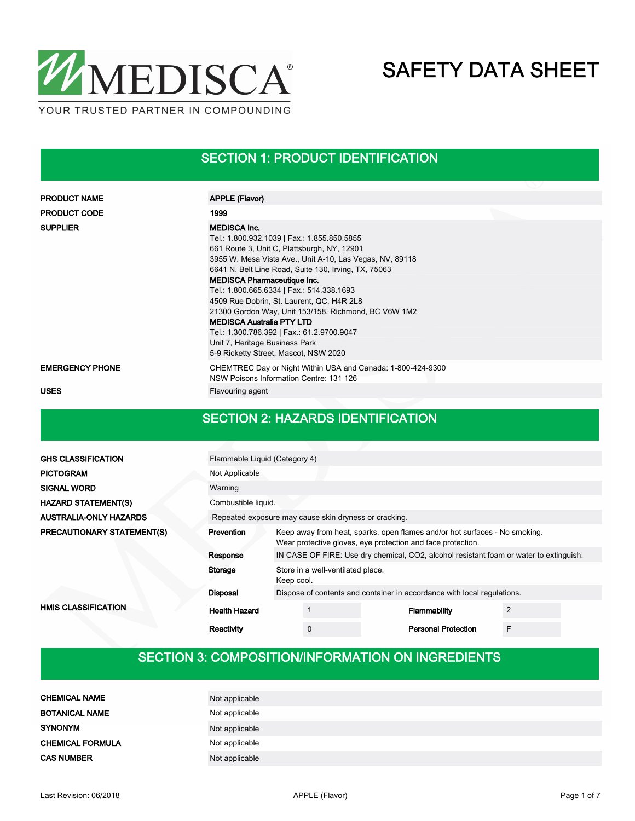

#### SECTION 1: PRODUCT IDENTIFICATION

| <b>PRODUCT NAME</b>    | <b>APPLE (Flavor)</b>                                                                                                                                                                                                                                                                                                                                                                                                                                                                                                                                                                      |
|------------------------|--------------------------------------------------------------------------------------------------------------------------------------------------------------------------------------------------------------------------------------------------------------------------------------------------------------------------------------------------------------------------------------------------------------------------------------------------------------------------------------------------------------------------------------------------------------------------------------------|
|                        |                                                                                                                                                                                                                                                                                                                                                                                                                                                                                                                                                                                            |
| <b>PRODUCT CODE</b>    | 1999                                                                                                                                                                                                                                                                                                                                                                                                                                                                                                                                                                                       |
| <b>SUPPLIER</b>        | <b>MEDISCA Inc.</b><br>Tel.: 1.800.932.1039   Fax.: 1.855.850.5855<br>661 Route 3, Unit C, Plattsburgh, NY, 12901<br>3955 W. Mesa Vista Ave., Unit A-10, Las Vegas, NV, 89118<br>6641 N. Belt Line Road, Suite 130, Irving, TX, 75063<br><b>MEDISCA Pharmaceutique Inc.</b><br>Tel.: 1.800.665.6334   Fax.: 514.338.1693<br>4509 Rue Dobrin, St. Laurent, QC, H4R 2L8<br>21300 Gordon Way, Unit 153/158, Richmond, BC V6W 1M2<br><b>MEDISCA Australia PTY LTD</b><br>Tel.: 1.300.786.392   Fax.: 61.2.9700.9047<br>Unit 7, Heritage Business Park<br>5-9 Ricketty Street, Mascot, NSW 2020 |
| <b>EMERGENCY PHONE</b> | CHEMTREC Day or Night Within USA and Canada: 1-800-424-9300<br>NSW Poisons Information Centre: 131 126                                                                                                                                                                                                                                                                                                                                                                                                                                                                                     |
| <b>USES</b>            | Flavouring agent                                                                                                                                                                                                                                                                                                                                                                                                                                                                                                                                                                           |

#### SECTION 2: HAZARDS IDENTIFICATION

| <b>GHS CLASSIFICATION</b>         | Flammable Liquid (Category 4)                                                                      |                                                                                                                                           |   |  |                                                                         |                |  |
|-----------------------------------|----------------------------------------------------------------------------------------------------|-------------------------------------------------------------------------------------------------------------------------------------------|---|--|-------------------------------------------------------------------------|----------------|--|
| <b>PICTOGRAM</b>                  | Not Applicable                                                                                     |                                                                                                                                           |   |  |                                                                         |                |  |
| <b>SIGNAL WORD</b>                | Warning                                                                                            |                                                                                                                                           |   |  |                                                                         |                |  |
| <b>HAZARD STATEMENT(S)</b>        | Combustible liquid.                                                                                |                                                                                                                                           |   |  |                                                                         |                |  |
| <b>AUSTRALIA-ONLY HAZARDS</b>     | Repeated exposure may cause skin dryness or cracking.                                              |                                                                                                                                           |   |  |                                                                         |                |  |
| <b>PRECAUTIONARY STATEMENT(S)</b> | <b>Prevention</b>                                                                                  | Keep away from heat, sparks, open flames and/or hot surfaces - No smoking.<br>Wear protective gloves, eye protection and face protection. |   |  |                                                                         |                |  |
|                                   | IN CASE OF FIRE: Use dry chemical, CO2, alcohol resistant foam or water to extinguish.<br>Response |                                                                                                                                           |   |  |                                                                         |                |  |
|                                   | Storage                                                                                            | Store in a well-ventilated place.<br>Keep cool.                                                                                           |   |  |                                                                         |                |  |
|                                   | <b>Disposal</b>                                                                                    |                                                                                                                                           |   |  | Dispose of contents and container in accordance with local regulations. |                |  |
| <b>HMIS CLASSIFICATION</b>        | <b>Health Hazard</b>                                                                               |                                                                                                                                           |   |  | Flammability                                                            | $\overline{2}$ |  |
|                                   | Reactivity                                                                                         |                                                                                                                                           | 0 |  | <b>Personal Protection</b>                                              | F              |  |

### SECTION 3: COMPOSITION/INFORMATION ON INGREDIENTS

| <b>CHEMICAL NAME</b>    | Not applicable |
|-------------------------|----------------|
| <b>BOTANICAL NAME</b>   | Not applicable |
| <b>SYNONYM</b>          | Not applicable |
| <b>CHEMICAL FORMULA</b> | Not applicable |
| <b>CAS NUMBER</b>       | Not applicable |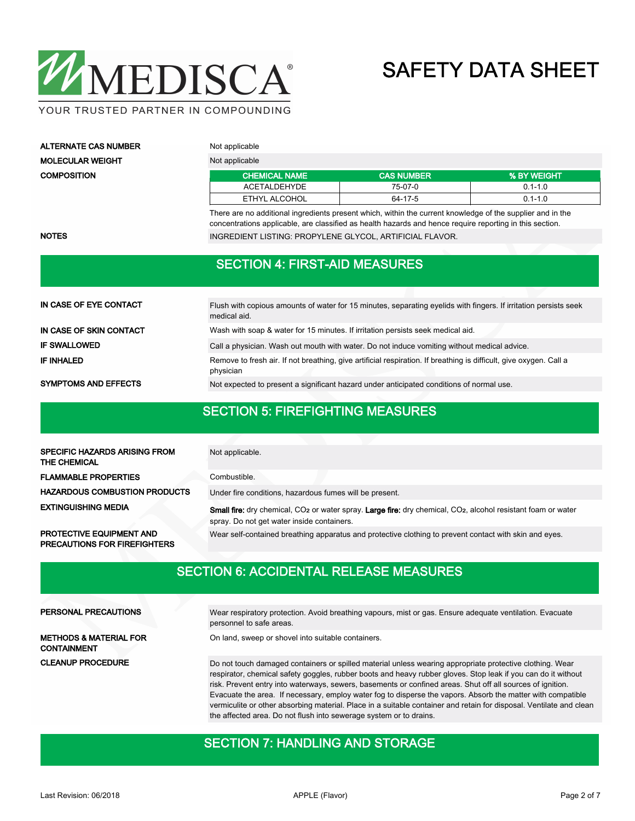

YOUR TRUSTED PARTNER IN COMPOUNDING

| ALTERNATE CAS NUMBER | Not applicable       |                   |             |  |  |
|----------------------|----------------------|-------------------|-------------|--|--|
| MOLECULAR WEIGHT     | Not applicable       |                   |             |  |  |
| COMPOSITION          | <b>CHEMICAL NAME</b> | <b>CAS NUMBER</b> | % BY WEIGHT |  |  |
|                      | ACETALDEHYDE         | 75-07-0           | $0.1 - 1.0$ |  |  |
|                      | ETHYL ALCOHOL        | 64-17-5           | $0.1 - 1.0$ |  |  |

There are no additional ingredients present which, within the current knowledge of the supplier and in the concentrations applicable, are classified as health hazards and hence require reporting in this section. NOTES **INGREDIENT LISTING: PROPYLENE GLYCOL, ARTIFICIAL FLAVOR.** 

#### SECTION 4: FIRST-AID MEASURES

| IN CASE OF EYE CONTACT      | Flush with copious amounts of water for 15 minutes, separating eyelids with fingers. If irritation persists seek<br>medical aid. |
|-----------------------------|----------------------------------------------------------------------------------------------------------------------------------|
| IN CASE OF SKIN CONTACT     | Wash with soap & water for 15 minutes. If irritation persists seek medical aid.                                                  |
| <b>IF SWALLOWED</b>         | Call a physician. Wash out mouth with water. Do not induce vomiting without medical advice.                                      |
| <b>IF INHALED</b>           | Remove to fresh air. If not breathing, give artificial respiration. If breathing is difficult, give oxygen. Call a<br>physician  |
| <b>SYMPTOMS AND EFFECTS</b> | Not expected to present a significant hazard under anticipated conditions of normal use.                                         |

#### SECTION 5: FIREFIGHTING MEASURES

| <b>SPECIFIC HAZARDS ARISING FROM</b><br>THE CHEMICAL | Not applicable.                                                                                                                                                                                                                                       |  |  |  |  |
|------------------------------------------------------|-------------------------------------------------------------------------------------------------------------------------------------------------------------------------------------------------------------------------------------------------------|--|--|--|--|
| <b>FLAMMABLE PROPERTIES</b>                          | Combustible.                                                                                                                                                                                                                                          |  |  |  |  |
| <b>HAZARDOUS COMBUSTION PRODUCTS</b>                 | Under fire conditions, hazardous fumes will be present.<br><b>Small fire:</b> dry chemical, CO <sub>2</sub> or water spray. Large fire: dry chemical, CO <sub>2</sub> , alcohol resistant foam or water<br>spray. Do not get water inside containers. |  |  |  |  |
| <b>EXTINGUISHING MEDIA</b>                           |                                                                                                                                                                                                                                                       |  |  |  |  |
| <b>PROTECTIVE EQUIPMENT AND</b>                      | Wear self-contained breathing apparatus and protective clothing to prevent contact with skin and eyes.                                                                                                                                                |  |  |  |  |

SECTION 6: ACCIDENTAL RELEASE MEASURES

| PERSONAL PRECAUTIONS                                    | Wear respiratory protection. Avoid breathing vapours, mist or gas. Ensure adequate ventilation. Evacuate<br>personnel to safe areas.                                                                                                                                                                                                                                                                                                                   |
|---------------------------------------------------------|--------------------------------------------------------------------------------------------------------------------------------------------------------------------------------------------------------------------------------------------------------------------------------------------------------------------------------------------------------------------------------------------------------------------------------------------------------|
| <b>METHODS &amp; MATERIAL FOR</b><br><b>CONTAINMENT</b> | On land, sweep or shovel into suitable containers.                                                                                                                                                                                                                                                                                                                                                                                                     |
| <b>CLEANUP PROCEDURE</b>                                | Do not touch damaged containers or spilled material unless wearing appropriate protective clothing. Wear<br>respirator, chemical safety goggles, rubber boots and heavy rubber gloves. Stop leak if you can do it without<br>risk. Prevent entry into waterways, sewers, basements or confined areas. Shut off all sources of ignition.<br>Evacuate the area. If necessary, employ water fog to disperse the vapors. Absorb the matter with compatible |

#### vermiculite or other absorbing material. Place in a suitable container and retain for disposal. Ventilate and clean the affected area. Do not flush into sewerage system or to drains.

#### SECTION 7: HANDLING AND STORAGE

PRECAUTIONS FOR FIREFIGHTERS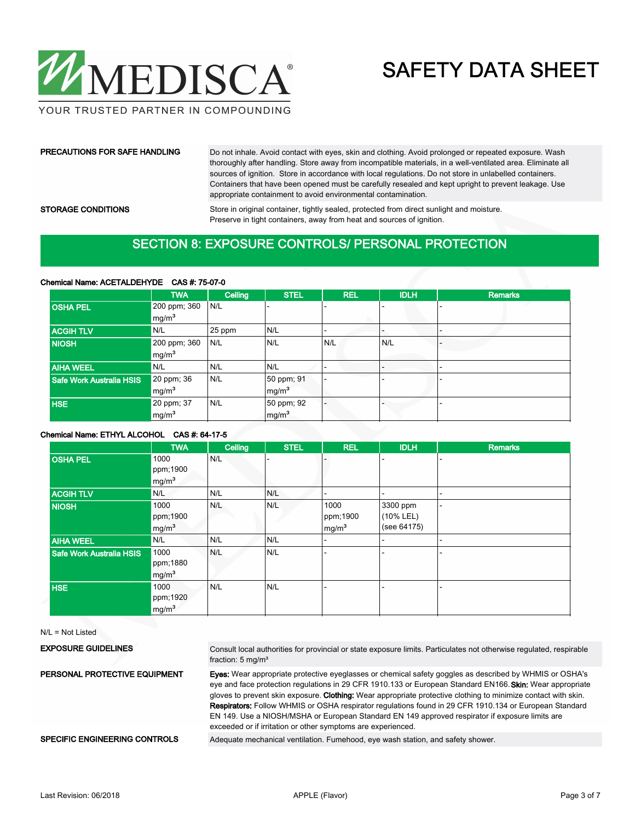

#### PRECAUTIONS FOR SAFE HANDLING

Do not inhale. Avoid contact with eyes, skin and clothing. Avoid prolonged or repeated exposure. Wash thoroughly after handling. Store away from incompatible materials, in a well-ventilated area. Eliminate all sources of ignition. Store in accordance with local regulations. Do not store in unlabelled containers. Containers that have been opened must be carefully resealed and kept upright to prevent leakage. Use appropriate containment to avoid environmental contamination.

#### STORAGE CONDITIONS

Store in original container, tightly sealed, protected from direct sunlight and moisture. Preserve in tight containers, away from heat and sources of ignition.

### SECTION 8: EXPOSURE CONTROLS/ PERSONAL PROTECTION

#### Chemical Name: ACETALDEHYDE CAS #: 75-07-0

|                          | <b>TWA</b>        | Ceiling | <b>STEL</b>       | <b>REL</b> | <b>IDLH</b>              | <b>Remarks</b> |
|--------------------------|-------------------|---------|-------------------|------------|--------------------------|----------------|
| <b>OSHA PEL</b>          | 200 ppm; 360      | N/L     |                   |            |                          |                |
|                          | mg/m <sup>3</sup> |         |                   |            |                          |                |
| <b>ACGIH TLV</b>         | N/L               | 25 ppm  | N/L               |            |                          |                |
| <b>NIOSH</b>             | 200 ppm; 360      | N/L     | N/L               | N/L        | N/L                      |                |
|                          | mg/m <sup>3</sup> |         |                   |            |                          |                |
| <b>AIHA WEEL</b>         | N/L               | N/L     | N/L               |            | $\overline{\phantom{0}}$ |                |
| Safe Work Australia HSIS | 20 ppm; 36        | N/L     | 50 ppm; 91        |            |                          |                |
|                          | mg/m <sup>3</sup> |         | mg/m <sup>3</sup> |            |                          |                |
| <b>HSE</b>               | 20 ppm; 37        | N/L     | 50 ppm; 92        |            | $\sim$                   |                |
|                          | mg/m <sup>3</sup> |         | mg/m <sup>3</sup> |            |                          |                |

#### Chemical Name: ETHYL ALCOHOL CAS #: 64-17-5

|                          | <b>TWA</b>        | Ceiling | <b>STEL</b> | <b>REL</b>        | <b>IDLH</b> | <b>Remarks</b> |
|--------------------------|-------------------|---------|-------------|-------------------|-------------|----------------|
| <b>OSHA PEL</b>          | 1000              | N/L     |             |                   |             |                |
|                          | ppm;1900          |         |             |                   |             |                |
|                          | mg/m <sup>3</sup> |         |             |                   |             |                |
| <b>ACGIH TLV</b>         | N/L               | N/L     | N/L         |                   |             | ٠              |
| <b>NIOSH</b>             | 1000              | N/L     | N/L         | 1000              | 3300 ppm    | ۳              |
|                          | ppm;1900          |         |             | ppm;1900          | (10% LEL)   |                |
|                          | mg/m <sup>3</sup> |         |             | mg/m <sup>3</sup> | (see 64175) |                |
| <b>AIHA WEEL</b>         | N/L               | N/L     | N/L         |                   |             | ۰.             |
| Safe Work Australia HSIS | 1000              | N/L     | N/L         |                   |             | ٠              |
|                          | ppm;1880          |         |             |                   |             |                |
|                          | mg/m <sup>3</sup> |         |             |                   |             |                |
| <b>HSE</b>               | 1000              | N/L     | N/L         |                   |             | ٠              |
|                          | ppm;1920          |         |             |                   |             |                |
|                          | mg/m <sup>3</sup> |         |             |                   |             |                |

N/L = Not Listed

| <b>EXPOSURE GUIDELINES</b>    | Consult local authorities for provincial or state exposure limits. Particulates not otherwise regulated, respirable<br>fraction: $5 \text{ mg/m}^3$                                                                                                                                                                                                                                                                                                                                                                                                                                                                        |
|-------------------------------|----------------------------------------------------------------------------------------------------------------------------------------------------------------------------------------------------------------------------------------------------------------------------------------------------------------------------------------------------------------------------------------------------------------------------------------------------------------------------------------------------------------------------------------------------------------------------------------------------------------------------|
| PERSONAL PROTECTIVE EQUIPMENT | <b>Eves:</b> Wear appropriate protective eyeglasses or chemical safety goggles as described by WHMIS or OSHA's<br>eye and face protection regulations in 29 CFR 1910.133 or European Standard EN166. Skin: Wear appropriate<br>gloves to prevent skin exposure. Clothing: Wear appropriate protective clothing to minimize contact with skin.<br>Respirators: Follow WHMIS or OSHA respirator regulations found in 29 CFR 1910.134 or European Standard<br>EN 149. Use a NIOSH/MSHA or European Standard EN 149 approved respirator if exposure limits are<br>exceeded or if irritation or other symptoms are experienced. |
| SPECIFIC ENGINEERING CONTROLS | Adequate mechanical ventilation. Fumehood, eye wash station, and safety shower.                                                                                                                                                                                                                                                                                                                                                                                                                                                                                                                                            |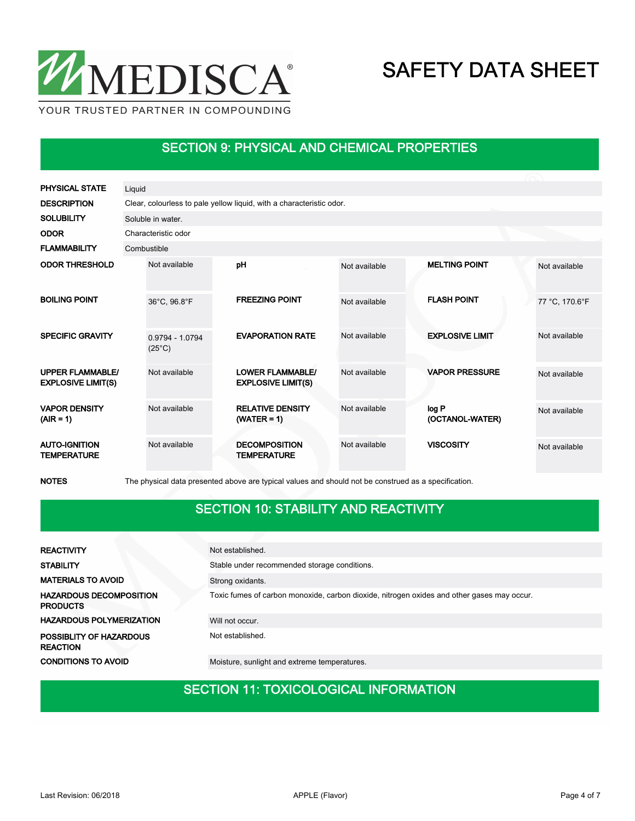

### SECTION 9: PHYSICAL AND CHEMICAL PROPERTIES

| <b>PHYSICAL STATE</b>                                | Liquid                               |  |                                                                      |               |                          |                |
|------------------------------------------------------|--------------------------------------|--|----------------------------------------------------------------------|---------------|--------------------------|----------------|
| <b>DESCRIPTION</b>                                   |                                      |  | Clear, colourless to pale yellow liquid, with a characteristic odor. |               |                          |                |
| <b>SOLUBILITY</b>                                    | Soluble in water.                    |  |                                                                      |               |                          |                |
| <b>ODOR</b>                                          | Characteristic odor                  |  |                                                                      |               |                          |                |
| <b>FLAMMABILITY</b>                                  | Combustible                          |  |                                                                      |               |                          |                |
| <b>ODOR THRESHOLD</b>                                | Not available                        |  | pH                                                                   | Not available | <b>MELTING POINT</b>     | Not available  |
| <b>BOILING POINT</b>                                 | 36°C, 96.8°F                         |  | <b>FREEZING POINT</b>                                                | Not available | <b>FLASH POINT</b>       | 77 °C, 170.6°F |
| <b>SPECIFIC GRAVITY</b>                              | $0.9794 - 1.0794$<br>$(25^{\circ}C)$ |  | <b>EVAPORATION RATE</b>                                              | Not available | <b>EXPLOSIVE LIMIT</b>   | Not available  |
| <b>UPPER FLAMMABLE/</b><br><b>EXPLOSIVE LIMIT(S)</b> | Not available                        |  | <b>LOWER FLAMMABLE/</b><br><b>EXPLOSIVE LIMIT(S)</b>                 | Not available | <b>VAPOR PRESSURE</b>    | Not available  |
| <b>VAPOR DENSITY</b><br>$(AIR = 1)$                  | Not available                        |  | <b>RELATIVE DENSITY</b><br>$(WATER = 1)$                             | Not available | log P<br>(OCTANOL-WATER) | Not available  |
| <b>AUTO-IGNITION</b><br><b>TEMPERATURE</b>           | Not available                        |  | <b>DECOMPOSITION</b><br><b>TEMPERATURE</b>                           | Not available | <b>VISCOSITY</b>         | Not available  |

NOTES The physical data presented above are typical values and should not be construed as a specification.

### SECTION 10: STABILITY AND REACTIVITY

| <b>REACTIVITY</b>                                 | Not established.                                                                           |  |  |  |  |
|---------------------------------------------------|--------------------------------------------------------------------------------------------|--|--|--|--|
| <b>STABILITY</b>                                  | Stable under recommended storage conditions.                                               |  |  |  |  |
| <b>MATERIALS TO AVOID</b>                         | Strong oxidants.                                                                           |  |  |  |  |
| <b>HAZARDOUS DECOMPOSITION</b><br><b>PRODUCTS</b> | Toxic fumes of carbon monoxide, carbon dioxide, nitrogen oxides and other gases may occur. |  |  |  |  |
| <b>HAZARDOUS POLYMERIZATION</b>                   | Will not occur.                                                                            |  |  |  |  |
| POSSIBLITY OF HAZARDOUS<br><b>REACTION</b>        | Not established.                                                                           |  |  |  |  |
| <b>CONDITIONS TO AVOID</b>                        | Moisture, sunlight and extreme temperatures.                                               |  |  |  |  |

### SECTION 11: TOXICOLOGICAL INFORMATION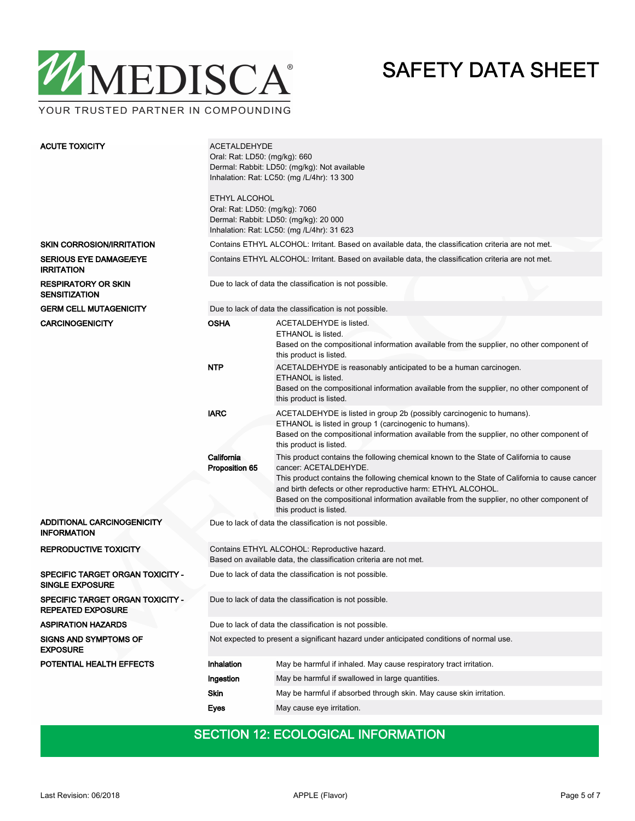

YOUR TRUSTED PARTNER IN COMPOUNDING

| <b>ACUTE TOXICITY</b>                                        | <b>ACETALDEHYDE</b><br>Oral: Rat: LD50: (mg/kg): 660<br>Dermal: Rabbit: LD50: (mg/kg): Not available<br>Inhalation: Rat: LC50: (mg / L/4hr): 13 300<br>ETHYL ALCOHOL<br>Oral: Rat: LD50: (mg/kg): 7060<br>Dermal: Rabbit: LD50: (mg/kg): 20 000<br>Inhalation: Rat: LC50: (mg /L/4hr): 31 623 |                                                                                                                                                                                                                                                                                                                                                                                                          |  |  |  |
|--------------------------------------------------------------|-----------------------------------------------------------------------------------------------------------------------------------------------------------------------------------------------------------------------------------------------------------------------------------------------|----------------------------------------------------------------------------------------------------------------------------------------------------------------------------------------------------------------------------------------------------------------------------------------------------------------------------------------------------------------------------------------------------------|--|--|--|
| <b>SKIN CORROSION/IRRITATION</b>                             | Contains ETHYL ALCOHOL: Irritant. Based on available data, the classification criteria are not met.                                                                                                                                                                                           |                                                                                                                                                                                                                                                                                                                                                                                                          |  |  |  |
| <b>SERIOUS EYE DAMAGE/EYE</b><br><b>IRRITATION</b>           | Contains ETHYL ALCOHOL: Irritant. Based on available data, the classification criteria are not met.                                                                                                                                                                                           |                                                                                                                                                                                                                                                                                                                                                                                                          |  |  |  |
| <b>RESPIRATORY OR SKIN</b><br><b>SENSITIZATION</b>           | Due to lack of data the classification is not possible.                                                                                                                                                                                                                                       |                                                                                                                                                                                                                                                                                                                                                                                                          |  |  |  |
| <b>GERM CELL MUTAGENICITY</b>                                |                                                                                                                                                                                                                                                                                               | Due to lack of data the classification is not possible.                                                                                                                                                                                                                                                                                                                                                  |  |  |  |
| <b>CARCINOGENICITY</b>                                       | <b>OSHA</b>                                                                                                                                                                                                                                                                                   | ACETALDEHYDE is listed.<br>ETHANOL is listed.<br>Based on the compositional information available from the supplier, no other component of<br>this product is listed.                                                                                                                                                                                                                                    |  |  |  |
|                                                              | <b>NTP</b>                                                                                                                                                                                                                                                                                    | ACETALDEHYDE is reasonably anticipated to be a human carcinogen.<br>ETHANOL is listed.<br>Based on the compositional information available from the supplier, no other component of<br>this product is listed.                                                                                                                                                                                           |  |  |  |
|                                                              | <b>IARC</b>                                                                                                                                                                                                                                                                                   | ACETALDEHYDE is listed in group 2b (possibly carcinogenic to humans).<br>ETHANOL is listed in group 1 (carcinogenic to humans).<br>Based on the compositional information available from the supplier, no other component of<br>this product is listed.                                                                                                                                                  |  |  |  |
|                                                              | California<br>Proposition 65                                                                                                                                                                                                                                                                  | This product contains the following chemical known to the State of California to cause<br>cancer: ACETALDEHYDE.<br>This product contains the following chemical known to the State of California to cause cancer<br>and birth defects or other reproductive harm: ETHYL ALCOHOL.<br>Based on the compositional information available from the supplier, no other component of<br>this product is listed. |  |  |  |
| ADDITIONAL CARCINOGENICITY<br><b>INFORMATION</b>             | Due to lack of data the classification is not possible.                                                                                                                                                                                                                                       |                                                                                                                                                                                                                                                                                                                                                                                                          |  |  |  |
| <b>REPRODUCTIVE TOXICITY</b>                                 | Contains ETHYL ALCOHOL: Reproductive hazard.<br>Based on available data, the classification criteria are not met.                                                                                                                                                                             |                                                                                                                                                                                                                                                                                                                                                                                                          |  |  |  |
| SPECIFIC TARGET ORGAN TOXICITY -<br><b>SINGLE EXPOSURE</b>   | Due to lack of data the classification is not possible.                                                                                                                                                                                                                                       |                                                                                                                                                                                                                                                                                                                                                                                                          |  |  |  |
| SPECIFIC TARGET ORGAN TOXICITY -<br><b>REPEATED EXPOSURE</b> | Due to lack of data the classification is not possible.                                                                                                                                                                                                                                       |                                                                                                                                                                                                                                                                                                                                                                                                          |  |  |  |
| <b>ASPIRATION HAZARDS</b>                                    | Due to lack of data the classification is not possible.                                                                                                                                                                                                                                       |                                                                                                                                                                                                                                                                                                                                                                                                          |  |  |  |
| SIGNS AND SYMPTOMS OF<br><b>EXPOSURE</b>                     | Not expected to present a significant hazard under anticipated conditions of normal use.                                                                                                                                                                                                      |                                                                                                                                                                                                                                                                                                                                                                                                          |  |  |  |
| POTENTIAL HEALTH EFFECTS                                     | <b>Inhalation</b>                                                                                                                                                                                                                                                                             | May be harmful if inhaled. May cause respiratory tract irritation.                                                                                                                                                                                                                                                                                                                                       |  |  |  |
|                                                              | Ingestion                                                                                                                                                                                                                                                                                     | May be harmful if swallowed in large quantities.                                                                                                                                                                                                                                                                                                                                                         |  |  |  |
|                                                              | Skin                                                                                                                                                                                                                                                                                          | May be harmful if absorbed through skin. May cause skin irritation.                                                                                                                                                                                                                                                                                                                                      |  |  |  |
|                                                              | Eyes                                                                                                                                                                                                                                                                                          | May cause eye irritation.                                                                                                                                                                                                                                                                                                                                                                                |  |  |  |
|                                                              |                                                                                                                                                                                                                                                                                               |                                                                                                                                                                                                                                                                                                                                                                                                          |  |  |  |

## SECTION 12: ECOLOGICAL INFORMATION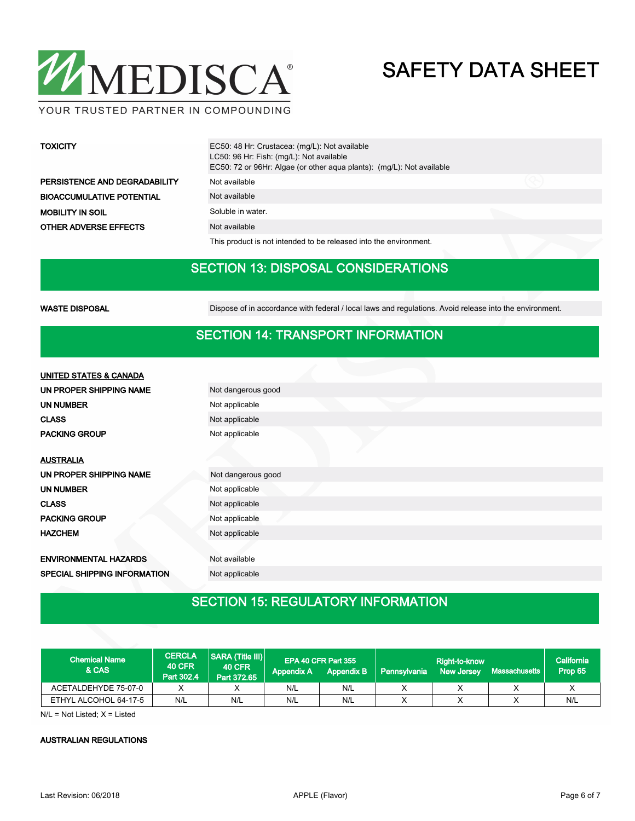

#### YOUR TRUSTED PARTNER IN COMPOUNDING

| <b>TOXICITY</b>                  | EC50: 48 Hr: Crustacea: (mg/L): Not available<br>LC50: 96 Hr: Fish: (mg/L): Not available<br>EC50: 72 or 96Hr: Algae (or other agua plants): (mg/L): Not available |  |
|----------------------------------|--------------------------------------------------------------------------------------------------------------------------------------------------------------------|--|
| PERSISTENCE AND DEGRADABILITY    | Not available                                                                                                                                                      |  |
| <b>BIOACCUMULATIVE POTENTIAL</b> | Not available                                                                                                                                                      |  |
| <b>MOBILITY IN SOIL</b>          | Soluble in water.                                                                                                                                                  |  |
| <b>OTHER ADVERSE EFFECTS</b>     | Not available                                                                                                                                                      |  |

This product is not intended to be released into the environment.

### SECTION 13: DISPOSAL CONSIDERATIONS

WASTE DISPOSAL **Dispose of in accordance with federal / local laws and regulations**. Avoid release into the environment.

#### SECTION 14: TRANSPORT INFORMATION

| <b>UNITED STATES &amp; CANADA</b>   |                    |
|-------------------------------------|--------------------|
| UN PROPER SHIPPING NAME             | Not dangerous good |
| <b>UN NUMBER</b>                    | Not applicable     |
| <b>CLASS</b>                        | Not applicable     |
| <b>PACKING GROUP</b>                | Not applicable     |
|                                     |                    |
| <b>AUSTRALIA</b>                    |                    |
| UN PROPER SHIPPING NAME             | Not dangerous good |
| <b>UN NUMBER</b>                    | Not applicable     |
| <b>CLASS</b>                        | Not applicable     |
| <b>PACKING GROUP</b>                | Not applicable     |
| <b>HAZCHEM</b>                      | Not applicable     |
|                                     |                    |
| <b>ENVIRONMENTAL HAZARDS</b>        | Not available      |
| <b>SPECIAL SHIPPING INFORMATION</b> | Not applicable     |

## SECTION 15: REGULATORY INFORMATION

| <b>Chemical Name</b><br><b>&amp; CAS</b> | <b>CERCLA</b><br><b>40 CFR</b><br>Part 302.4 | SARA (Title III)<br><b>40 CFR</b><br>Part 372.65 | <b>Appendix A</b> | EPA 40 CFR Part 355<br><b>Appendix B</b> | Pennsylvania | Right-to-know<br><b>New Jersey</b> | Massachusetts | California<br>Prop 65 |
|------------------------------------------|----------------------------------------------|--------------------------------------------------|-------------------|------------------------------------------|--------------|------------------------------------|---------------|-----------------------|
| ACETALDEHYDE 75-07-0                     |                                              |                                                  | N/L               | N/L                                      |              |                                    |               |                       |
| ETHYL ALCOHOL 64-17-5                    | N/L                                          | N/L                                              | N/L               | N/L                                      |              |                                    |               | N/L                   |

 $N/L = Not$  Listed;  $X =$  Listed

#### AUSTRALIAN REGULATIONS